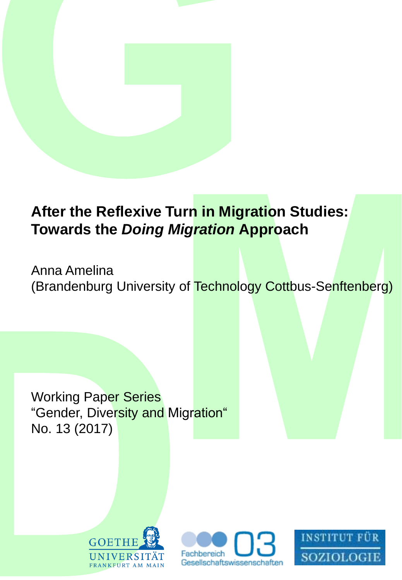# **After the Reflexive Turn in Migration Studies: Towards the** *Doing Migration* **Approach**

Anna Amelina (Brandenburg University of Technology Cottbus-Senftenberg)

Working Paper Series "Gender, Diversity and Migration" No. 13 (2017)





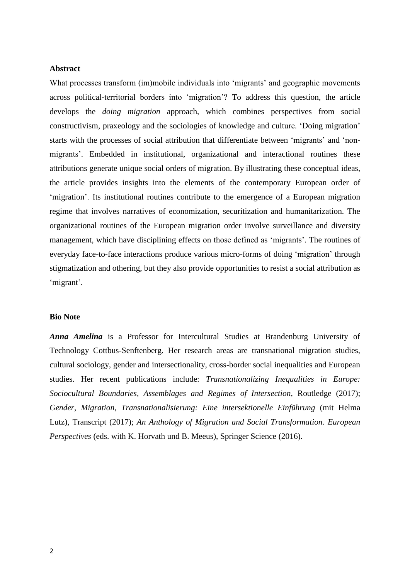#### **Abstract**

What processes transform (im)mobile individuals into 'migrants' and geographic movements across political-territorial borders into 'migration'? To address this question, the article develops the *doing migration* approach, which combines perspectives from social constructivism, praxeology and the sociologies of knowledge and culture. 'Doing migration' starts with the processes of social attribution that differentiate between 'migrants' and 'nonmigrants'. Embedded in institutional, organizational and interactional routines these attributions generate unique social orders of migration. By illustrating these conceptual ideas, the article provides insights into the elements of the contemporary European order of 'migration'. Its institutional routines contribute to the emergence of a European migration regime that involves narratives of economization, securitization and humanitarization. The organizational routines of the European migration order involve surveillance and diversity management, which have disciplining effects on those defined as 'migrants'. The routines of everyday face-to-face interactions produce various micro-forms of doing 'migration' through stigmatization and othering, but they also provide opportunities to resist a social attribution as 'migrant'.

#### **Bio Note**

*Anna Amelina* is a Professor for Intercultural Studies at Brandenburg University of Technology Cottbus-Senftenberg. Her research areas are transnational migration studies, cultural sociology, gender and intersectionality, cross-border social inequalities and European studies. Her recent publications include: *Transnationalizing Inequalities in Europe: Sociocultural Boundaries, Assemblages and Regimes of Intersection*, Routledge (2017); *Gender, Migration, Transnationalisierung: Eine intersektionelle Einführung* (mit Helma Lutz), Transcript (2017); *An Anthology of Migration and Social Transformation. European Perspectives* (eds. with K. Horvath und B. Meeus), Springer Science (2016).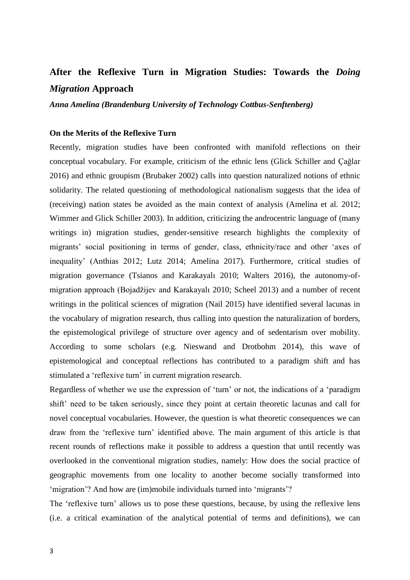# **After the Reflexive Turn in Migration Studies: Towards the** *Doing Migration* **Approach**

*Anna Amelina (Brandenburg University of Technology Cottbus-Senftenberg)*

### **On the Merits of the Reflexive Turn**

Recently, migration studies have been confronted with manifold reflections on their conceptual vocabulary. For example, criticism of the ethnic lens (Glick Schiller and Çağlar 2016) and ethnic groupism (Brubaker 2002) calls into question naturalized notions of ethnic solidarity. The related questioning of methodological nationalism suggests that the idea of (receiving) nation states be avoided as the main context of analysis (Amelina et al. 2012; Wimmer and Glick Schiller 2003). In addition, criticizing the androcentric language of (many writings in) migration studies, gender-sensitive research highlights the complexity of migrants' social positioning in terms of gender, class, ethnicity/race and other 'axes of inequality' (Anthias 2012; Lutz 2014; Amelina 2017). Furthermore, critical studies of migration governance (Tsianos and Karakayalı 2010; Walters 2016), the autonomy-ofmigration approach (Bojadžijev and Karakayalı 2010; Scheel 2013) and a number of recent writings in the political sciences of migration (Nail 2015) have identified several lacunas in the vocabulary of migration research, thus calling into question the naturalization of borders, the epistemological privilege of structure over agency and of sedentarism over mobility. According to some scholars (e.g. Nieswand and Drotbohm 2014), this wave of epistemological and conceptual reflections has contributed to a paradigm shift and has stimulated a 'reflexive turn' in current migration research.

Regardless of whether we use the expression of 'turn' or not, the indications of a 'paradigm shift' need to be taken seriously, since they point at certain theoretic lacunas and call for novel conceptual vocabularies. However, the question is what theoretic consequences we can draw from the 'reflexive turn' identified above. The main argument of this article is that recent rounds of reflections make it possible to address a question that until recently was overlooked in the conventional migration studies, namely: How does the social practice of geographic movements from one locality to another become socially transformed into 'migration'? And how are (im)mobile individuals turned into 'migrants'?

The 'reflexive turn' allows us to pose these questions, because, by using the reflexive lens (i.e. a critical examination of the analytical potential of terms and definitions), we can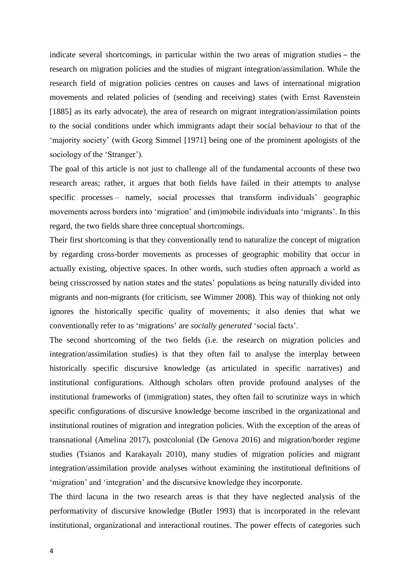indicate several shortcomings, in particular within the two areas of migration studies – the research on migration policies and the studies of migrant integration/assimilation. While the research field of migration policies centres on causes and laws of international migration movements and related policies of (sending and receiving) states (with Ernst Ravenstein [1885] as its early advocate), the area of research on migrant integration/assimilation points to the social conditions under which immigrants adapt their social behaviour to that of the 'majority society' (with Georg Simmel [1971] being one of the prominent apologists of the sociology of the 'Stranger').

The goal of this article is not just to challenge all of the fundamental accounts of these two research areas; rather, it argues that both fields have failed in their attempts to analyse specific processes – namely, social processes that transform individuals' geographic movements across borders into 'migration' and (im)mobile individuals into 'migrants'. In this regard, the two fields share three conceptual shortcomings.

Their first shortcoming is that they conventionally tend to naturalize the concept of migration by regarding cross-border movements as processes of geographic mobility that occur in actually existing, objective spaces. In other words, such studies often approach a world as being crisscrossed by nation states and the states' populations as being naturally divided into migrants and non-migrants (for criticism, see Wimmer 2008). This way of thinking not only ignores the historically specific quality of movements; it also denies that what we conventionally refer to as 'migrations' are *socially generated* 'social facts'.

The second shortcoming of the two fields (i.e. the research on migration policies and integration/assimilation studies) is that they often fail to analyse the interplay between historically specific discursive knowledge (as articulated in specific narratives) and institutional configurations. Although scholars often provide profound analyses of the institutional frameworks of (immigration) states, they often fail to scrutinize ways in which specific configurations of discursive knowledge become inscribed in the organizational and institutional routines of migration and integration policies. With the exception of the areas of transnational (Amelina 2017), postcolonial (De Genova 2016) and migration/border regime studies (Tsianos and Karakayalı 2010), many studies of migration policies and migrant integration/assimilation provide analyses without examining the institutional definitions of 'migration' and 'integration' and the discursive knowledge they incorporate.

The third lacuna in the two research areas is that they have neglected analysis of the performativity of discursive knowledge (Butler 1993) that is incorporated in the relevant institutional, organizational and interactional routines. The power effects of categories such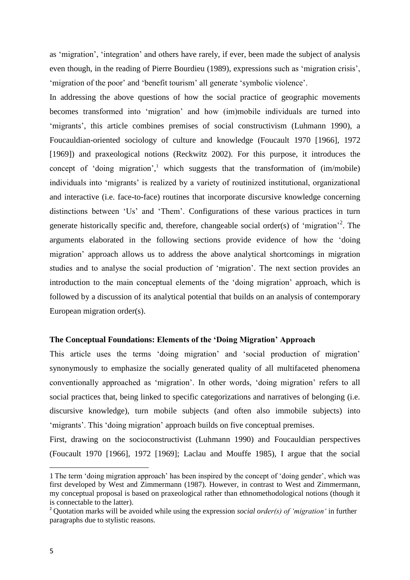as 'migration', 'integration' and others have rarely, if ever, been made the subject of analysis even though, in the reading of Pierre Bourdieu (1989), expressions such as 'migration crisis', 'migration of the poor' and 'benefit tourism' all generate 'symbolic violence'.

In addressing the above questions of how the social practice of geographic movements becomes transformed into 'migration' and how (im)mobile individuals are turned into 'migrants', this article combines premises of social constructivism (Luhmann 1990), a Foucauldian-oriented sociology of culture and knowledge (Foucault 1970 [1966], 1972 [1969]) and praxeological notions (Reckwitz 2002). For this purpose, it introduces the concept of 'doing migration', <sup>1</sup> which suggests that the transformation of (im/mobile) individuals into 'migrants' is realized by a variety of routinized institutional, organizational and interactive (i.e. face-to-face) routines that incorporate discursive knowledge concerning distinctions between 'Us' and 'Them'. Configurations of these various practices in turn generate historically specific and, therefore, changeable social order(s) of 'migration'<sup>2</sup>. The arguments elaborated in the following sections provide evidence of how the 'doing migration' approach allows us to address the above analytical shortcomings in migration studies and to analyse the social production of 'migration'. The next section provides an introduction to the main conceptual elements of the 'doing migration' approach, which is followed by a discussion of its analytical potential that builds on an analysis of contemporary European migration order(s).

#### **The Conceptual Foundations: Elements of the 'Doing Migration' Approach**

This article uses the terms 'doing migration' and 'social production of migration' synonymously to emphasize the socially generated quality of all multifaceted phenomena conventionally approached as 'migration'. In other words, 'doing migration' refers to all social practices that, being linked to specific categorizations and narratives of belonging (i.e. discursive knowledge), turn mobile subjects (and often also immobile subjects) into 'migrants'. This 'doing migration' approach builds on five conceptual premises.

First, drawing on the socioconstructivist (Luhmann 1990) and Foucauldian perspectives (Foucault 1970 [1966], 1972 [1969]; Laclau and Mouffe 1985), I argue that the social

 $\overline{\phantom{a}}$ 

<sup>1</sup> The term 'doing migration approach' has been inspired by the concept of 'doing gender', which was first developed by West and Zimmermann (1987). However, in contrast to West and Zimmermann, my conceptual proposal is based on praxeological rather than ethnomethodological notions (though it is connectable to the latter).

<sup>2</sup> Quotation marks will be avoided while using the expression *social order(s) of 'migration'* in further paragraphs due to stylistic reasons.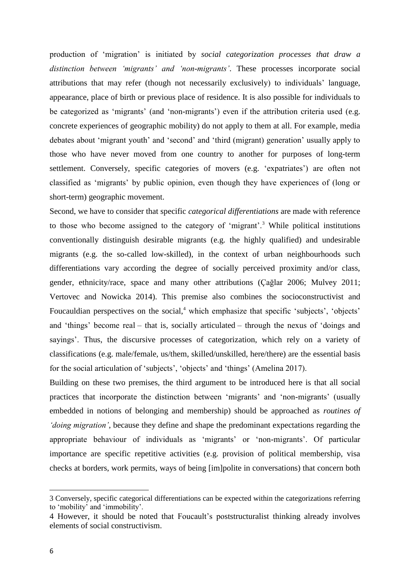production of 'migration' is initiated by *social categorization processes that draw a distinction between 'migrants' and 'non-migrants'*. These processes incorporate social attributions that may refer (though not necessarily exclusively) to individuals' language, appearance, place of birth or previous place of residence. It is also possible for individuals to be categorized as 'migrants' (and 'non-migrants') even if the attribution criteria used (e.g. concrete experiences of geographic mobility) do not apply to them at all. For example, media debates about 'migrant youth' and 'second' and 'third (migrant) generation' usually apply to those who have never moved from one country to another for purposes of long-term settlement. Conversely, specific categories of movers (e.g. 'expatriates') are often not classified as 'migrants' by public opinion, even though they have experiences of (long or short-term) geographic movement.

Second, we have to consider that specific *categorical differentiations* are made with reference to those who become assigned to the category of 'migrant'.<sup>3</sup> While political institutions conventionally distinguish desirable migrants (e.g. the highly qualified) and undesirable migrants (e.g. the so-called low-skilled), in the context of urban neighbourhoods such differentiations vary according the degree of socially perceived proximity and/or class, gender, ethnicity/race, space and many other attributions (Çağlar 2006; Mulvey 2011; Vertovec and Nowicka 2014). This premise also combines the socioconstructivist and Foucauldian perspectives on the social,<sup>4</sup> which emphasize that specific 'subjects', 'objects' and 'things' become real – that is, socially articulated – through the nexus of 'doings and sayings'. Thus, the discursive processes of categorization, which rely on a variety of classifications (e.g. male/female, us/them, skilled/unskilled, here/there) are the essential basis for the social articulation of 'subjects', 'objects' and 'things' (Amelina 2017).

Building on these two premises, the third argument to be introduced here is that all social practices that incorporate the distinction between 'migrants' and 'non-migrants' (usually embedded in notions of belonging and membership) should be approached as *routines of 'doing migration'*, because they define and shape the predominant expectations regarding the appropriate behaviour of individuals as 'migrants' or 'non-migrants'. Of particular importance are specific repetitive activities (e.g. provision of political membership, visa checks at borders, work permits, ways of being [im]polite in conversations) that concern both

<sup>3</sup> Conversely, specific categorical differentiations can be expected within the categorizations referring to 'mobility' and 'immobility'.

<sup>4</sup> However, it should be noted that Foucault's poststructuralist thinking already involves elements of social constructivism.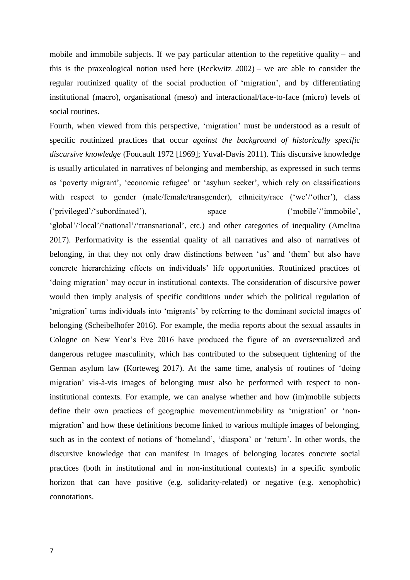mobile and immobile subjects. If we pay particular attention to the repetitive quality – and this is the praxeological notion used here (Reckwitz 2002) – we are able to consider the regular routinized quality of the social production of 'migration', and by differentiating institutional (macro), organisational (meso) and interactional/face-to-face (micro) levels of social routines.

Fourth, when viewed from this perspective, 'migration' must be understood as a result of specific routinized practices that occur *against the background of historically specific discursive knowledge* (Foucault 1972 [1969]; Yuval-Davis 2011). This discursive knowledge is usually articulated in narratives of belonging and membership, as expressed in such terms as 'poverty migrant', 'economic refugee' or 'asylum seeker', which rely on classifications with respect to gender (male/female/transgender), ethnicity/race ('we'/'other'), class ('privileged'/'subordinated'), space ('mobile'/'immobile', 'global'/'local'/'national'/'transnational', etc.) and other categories of inequality (Amelina 2017). Performativity is the essential quality of all narratives and also of narratives of belonging, in that they not only draw distinctions between 'us' and 'them' but also have concrete hierarchizing effects on individuals' life opportunities. Routinized practices of 'doing migration' may occur in institutional contexts. The consideration of discursive power would then imply analysis of specific conditions under which the political regulation of 'migration' turns individuals into 'migrants' by referring to the dominant societal images of belonging (Scheibelhofer 2016). For example, the media reports about the sexual assaults in Cologne on New Year's Eve 2016 have produced the figure of an oversexualized and dangerous refugee masculinity, which has contributed to the subsequent tightening of the German asylum law (Korteweg 2017). At the same time, analysis of routines of 'doing migration' vis-à-vis images of belonging must also be performed with respect to noninstitutional contexts. For example, we can analyse whether and how (im)mobile subjects define their own practices of geographic movement/immobility as 'migration' or 'non-

migration' and how these definitions become linked to various multiple images of belonging, such as in the context of notions of 'homeland', 'diaspora' or 'return'. In other words, the discursive knowledge that can manifest in images of belonging locates concrete social practices (both in institutional and in non-institutional contexts) in a specific symbolic horizon that can have positive (e.g. solidarity-related) or negative (e.g. xenophobic) connotations.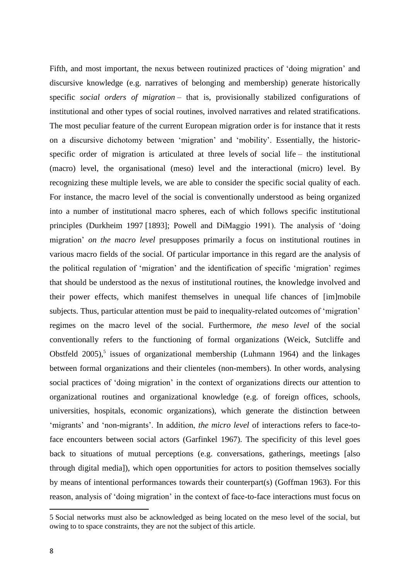Fifth, and most important, the nexus between routinized practices of 'doing migration' and discursive knowledge (e.g. narratives of belonging and membership) generate historically specific *social orders of migration* – that is, provisionally stabilized configurations of institutional and other types of social routines, involved narratives and related stratifications. The most peculiar feature of the current European migration order is for instance that it rests on a discursive dichotomy between 'migration' and 'mobility'. Essentially, the historicspecific order of migration is articulated at three levels of social life – the institutional (macro) level, the organisational (meso) level and the interactional (micro) level. By recognizing these multiple levels, we are able to consider the specific social quality of each. For instance, the macro level of the social is conventionally understood as being organized into a number of institutional macro spheres, each of which follows specific institutional principles (Durkheim 1997 [1893]; Powell and DiMaggio 1991). The analysis of 'doing migration' *on the macro level* presupposes primarily a focus on institutional routines in various macro fields of the social. Of particular importance in this regard are the analysis of the political regulation of 'migration' and the identification of specific 'migration' regimes that should be understood as the nexus of institutional routines, the knowledge involved and their power effects, which manifest themselves in unequal life chances of [im]mobile subjects. Thus, particular attention must be paid to inequality-related outcomes of 'migration' regimes on the macro level of the social. Furthermore, *the meso level* of the social conventionally refers to the functioning of formal organizations (Weick, Sutcliffe and Obstfeld  $2005$ <sup>5</sup>, issues of organizational membership (Luhmann 1964) and the linkages between formal organizations and their clienteles (non-members). In other words, analysing social practices of 'doing migration' in the context of organizations directs our attention to organizational routines and organizational knowledge (e.g. of foreign offices, schools, universities, hospitals, economic organizations), which generate the distinction between 'migrants' and 'non-migrants'. In addition, *the micro level* of interactions refers to face-toface encounters between social actors (Garfinkel 1967). The specificity of this level goes back to situations of mutual perceptions (e.g. conversations, gatherings, meetings [also through digital media]), which open opportunities for actors to position themselves socially by means of intentional performances towards their counterpart(s) (Goffman 1963). For this reason, analysis of 'doing migration' in the context of face-to-face interactions must focus on

<sup>5</sup> Social networks must also be acknowledged as being located on the meso level of the social, but owing to to space constraints, they are not the subject of this article.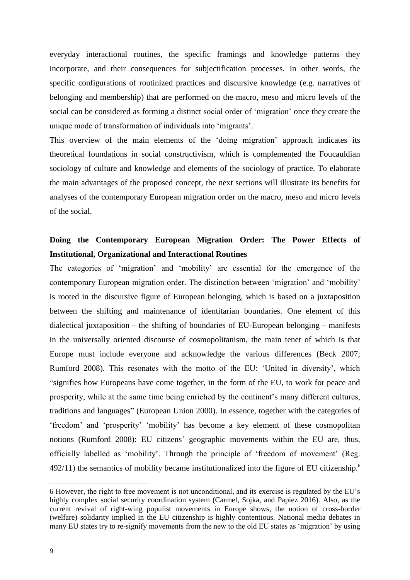everyday interactional routines, the specific framings and knowledge patterns they incorporate, and their consequences for subjectification processes. In other words, the specific configurations of routinized practices and discursive knowledge (e.g. narratives of belonging and membership) that are performed on the macro, meso and micro levels of the social can be considered as forming a distinct social order of 'migration' once they create the unique mode of transformation of individuals into 'migrants'.

This overview of the main elements of the 'doing migration' approach indicates its theoretical foundations in social constructivism, which is complemented the Foucauldian sociology of culture and knowledge and elements of the sociology of practice. To elaborate the main advantages of the proposed concept, the next sections will illustrate its benefits for analyses of the contemporary European migration order on the macro, meso and micro levels of the social.

### **Doing the Contemporary European Migration Order: The Power Effects of Institutional, Organizational and Interactional Routines**

The categories of 'migration' and 'mobility' are essential for the emergence of the contemporary European migration order. The distinction between 'migration' and 'mobility' is rooted in the discursive figure of European belonging, which is based on a juxtaposition between the shifting and maintenance of identitarian boundaries. One element of this dialectical juxtaposition – the shifting of boundaries of EU-European belonging – manifests in the universally oriented discourse of cosmopolitanism, the main tenet of which is that Europe must include everyone and acknowledge the various differences (Beck 2007; Rumford 2008). This resonates with the motto of the EU: 'United in diversity', which "signifies how Europeans have come together, in the form of the EU, to work for peace and prosperity, while at the same time being enriched by the continent's many different cultures, traditions and languages" (European Union 2000). In essence, together with the categories of 'freedom' and 'prosperity' 'mobility' has become a key element of these cosmopolitan notions (Rumford 2008): EU citizens' geographic movements within the EU are, thus, officially labelled as 'mobility'. Through the principle of 'freedom of movement' (Reg.  $492/11$ ) the semantics of mobility became institutionalized into the figure of EU citizenship.<sup>6</sup>

<sup>6</sup> However, the right to free movement is not unconditional, and its exercise is regulated by the EU's highly complex social security coordination system (Carmel, Sojka, and Papiez 2016). Also, as the current revival of right-wing populist movements in Europe shows, the notion of cross-border (welfare) solidarity implied in the EU citizenship is highly contentious. National media debates in many EU states try to re-signify movements from the new to the old EU states as 'migration' by using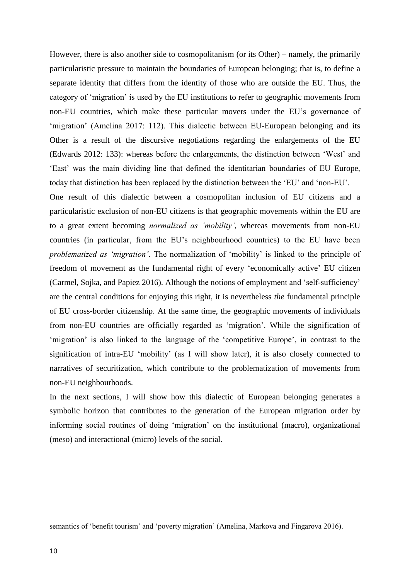However, there is also another side to cosmopolitanism (or its Other) – namely, the primarily particularistic pressure to maintain the boundaries of European belonging; that is, to define a separate identity that differs from the identity of those who are outside the EU. Thus, the category of 'migration' is used by the EU institutions to refer to geographic movements from non-EU countries, which make these particular movers under the EU's governance of 'migration' (Amelina 2017: 112). This dialectic between EU-European belonging and its Other is a result of the discursive negotiations regarding the enlargements of the EU (Edwards 2012: 133): whereas before the enlargements, the distinction between 'West' and 'East' was the main dividing line that defined the identitarian boundaries of EU Europe, today that distinction has been replaced by the distinction between the 'EU' and 'non-EU'.

One result of this dialectic between a cosmopolitan inclusion of EU citizens and a particularistic exclusion of non-EU citizens is that geographic movements within the EU are to a great extent becoming *normalized as 'mobility'*, whereas movements from non-EU countries (in particular, from the EU's neighbourhood countries) to the EU have been *problematized as 'migration'*. The normalization of 'mobility' is linked to the principle of freedom of movement as the fundamental right of every 'economically active' EU citizen (Carmel, Sojka, and Papiez 2016). Although the notions of employment and 'self-sufficiency' are the central conditions for enjoying this right, it is nevertheless *the* fundamental principle of EU cross-border citizenship. At the same time, the geographic movements of individuals from non-EU countries are officially regarded as 'migration'. While the signification of 'migration' is also linked to the language of the 'competitive Europe', in contrast to the signification of intra-EU 'mobility' (as I will show later), it is also closely connected to narratives of securitization, which contribute to the problematization of movements from non-EU neighbourhoods.

In the next sections, I will show how this dialectic of European belonging generates a symbolic horizon that contributes to the generation of the European migration order by informing social routines of doing 'migration' on the institutional (macro), organizational (meso) and interactional (micro) levels of the social.

semantics of 'benefit tourism' and 'poverty migration' (Amelina, Markova and Fingarova 2016).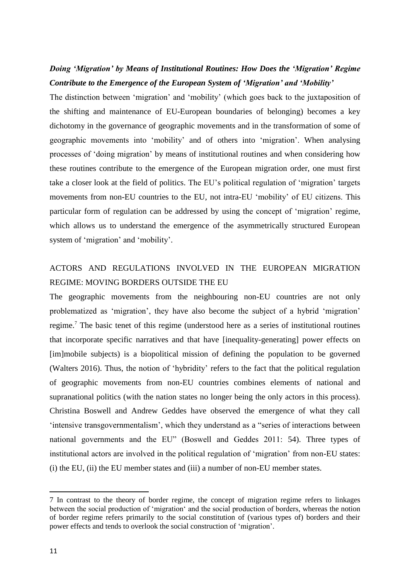### *Doing 'Migration' by Means of Institutional Routines: How Does the 'Migration' Regime Contribute to the Emergence of the European System of 'Migration' and 'Mobility'*

The distinction between 'migration' and 'mobility' (which goes back to the juxtaposition of the shifting and maintenance of EU-European boundaries of belonging) becomes a key dichotomy in the governance of geographic movements and in the transformation of some of geographic movements into 'mobility' and of others into 'migration'. When analysing processes of 'doing migration' by means of institutional routines and when considering how these routines contribute to the emergence of the European migration order, one must first take a closer look at the field of politics. The EU's political regulation of 'migration' targets movements from non-EU countries to the EU, not intra-EU 'mobility' of EU citizens. This particular form of regulation can be addressed by using the concept of 'migration' regime, which allows us to understand the emergence of the asymmetrically structured European system of 'migration' and 'mobility'.

### ACTORS AND REGULATIONS INVOLVED IN THE EUROPEAN MIGRATION REGIME: MOVING BORDERS OUTSIDE THE EU

The geographic movements from the neighbouring non-EU countries are not only problematized as 'migration', they have also become the subject of a hybrid 'migration' regime.<sup>7</sup> The basic tenet of this regime (understood here as a series of institutional routines that incorporate specific narratives and that have [inequality-generating] power effects on [im]mobile subjects) is a biopolitical mission of defining the population to be governed (Walters 2016). Thus, the notion of 'hybridity' refers to the fact that the political regulation of geographic movements from non-EU countries combines elements of national and supranational politics (with the nation states no longer being the only actors in this process). Christina Boswell and Andrew Geddes have observed the emergence of what they call 'intensive transgovernmentalism', which they understand as a "series of interactions between national governments and the EU" (Boswell and Geddes 2011: 54). Three types of institutional actors are involved in the political regulation of 'migration' from non-EU states: (i) the EU, (ii) the EU member states and (iii) a number of non-EU member states.

<sup>7</sup> In contrast to the theory of border regime, the concept of migration regime refers to linkages between the social production of 'migration' and the social production of borders, whereas the notion of border regime refers primarily to the social constitution of (various types of) borders and their power effects and tends to overlook the social construction of 'migration'.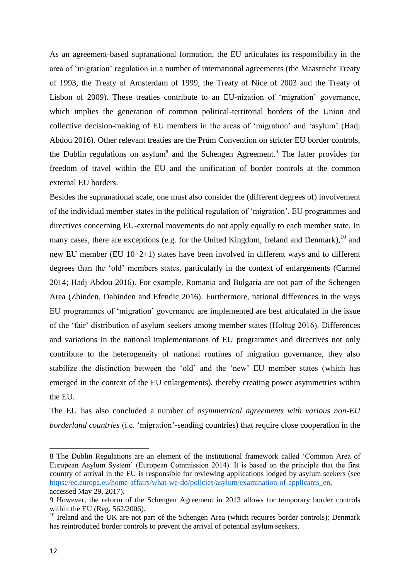As an agreement-based supranational formation, the EU articulates its responsibility in the area of 'migration' regulation in a number of international agreements (the Maastricht Treaty of 1993, the Treaty of Amsterdam of 1999, the Treaty of Nice of 2003 and the Treaty of Lisbon of 2009). These treaties contribute to an EU-nization of 'migration' governance, which implies the generation of common political-territorial borders of the Union and collective decision-making of EU members in the areas of 'migration' and 'asylum' (Hadj Abdou 2016). Other relevant treaties are the Prüm Convention on stricter EU border controls, the Dublin regulations on asylum<sup>8</sup> and the Schengen Agreement.<sup>9</sup> The latter provides for freedom of travel within the EU and the unification of border controls at the common external EU borders.

Besides the supranational scale, one must also consider the (different degrees of) involvement of the individual member states in the political regulation of 'migration'. EU programmes and directives concerning EU-external movements do not apply equally to each member state. In many cases, there are exceptions (e.g. for the United Kingdom, Ireland and Denmark).<sup>10</sup> and new EU member (EU 10+2+1) states have been involved in different ways and to different degrees than the 'old' members states, particularly in the context of enlargements (Carmel 2014; Hadj Abdou 2016). For example, Romania and Bulgaria are not part of the Schengen Area (Zbinden, Dahinden and Efendic 2016). Furthermore, national differences in the ways EU programmes of 'migration' governance are implemented are best articulated in the issue of the 'fair' distribution of asylum seekers among member states (Holtug 2016). Differences and variations in the national implementations of EU programmes and directives not only contribute to the heterogeneity of national routines of migration governance, they also stabilize the distinction between the 'old' and the 'new' EU member states (which has emerged in the context of the EU enlargements), thereby creating power asymmetries within the EU.

The EU has also concluded a number of *asymmetrical agreements with various non-EU borderland countries* (i.e. 'migration'-sending countries) that require close cooperation in the

<sup>8</sup> The Dublin Regulations are an element of the institutional framework called 'Common Area of European Asylum System' (European Commission 2014). It is based on the principle that the first country of arrival in the EU is responsible for reviewing applications lodged by asylum seekers (see [https://ec.europa.eu/home-affairs/what-we-do/policies/asylum/examination-of-applicants\\_en,](https://ec.europa.eu/home-affairs/what-we-do/policies/asylum/examination-of-applicants_en) accessed May 29, 2017).

<sup>9</sup> However, the reform of the Schengen Agreement in 2013 allows for temporary border controls within the EU (Reg. [562/2006\)](http://eur-lex.europa.eu/legal-content/DE/AUTO/?uri=celex:32006R0562).

 $10$  Ireland and the UK are not part of the Schengen Area (which requires border controls); Denmark has reintroduced border controls to prevent the arrival of potential asylum seekers.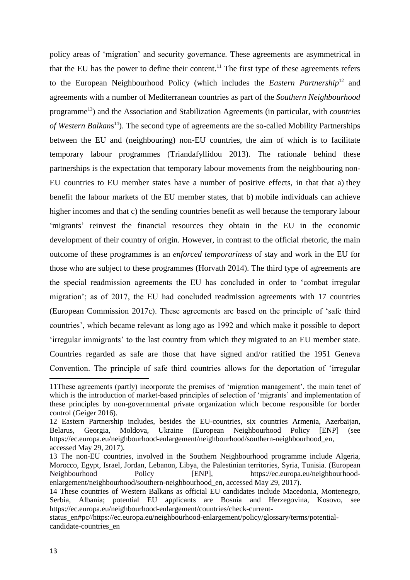policy areas of 'migration' and security governance*.* These agreements are asymmetrical in that the EU has the power to define their content.<sup>11</sup> The first type of these agreements refers to the European Neighbourhood Policy (which includes the *Eastern Partnership*<sup>12</sup> and agreements with a number of Mediterranean countries as part of the *Southern Neighbourhood* programme<sup>13</sup>) and the Association and Stabilization Agreements (in particular, with *countries of Western Balkan*s <sup>14</sup>). The second type of agreements are the so-called Mobility Partnerships between the EU and (neighbouring) non-EU countries, the aim of which is to facilitate temporary labour programmes (Triandafyllidou 2013). The rationale behind these partnerships is the expectation that temporary labour movements from the neighbouring non-EU countries to EU member states have a number of positive effects, in that that a) they benefit the labour markets of the EU member states, that b) mobile individuals can achieve higher incomes and that c) the sending countries benefit as well because the temporary labour 'migrants' reinvest the financial resources they obtain in the EU in the economic development of their country of origin. However, in contrast to the official rhetoric, the main outcome of these programmes is an *enforced temporariness* of stay and work in the EU for those who are subject to these programmes (Horvath 2014). The third type of agreements are the special readmission agreements the EU has concluded in order to 'combat irregular migration'; as of 2017, the EU had concluded readmission agreements with 17 countries (European Commission 2017c). These agreements are based on the principle of 'safe third countries', which became relevant as long ago as 1992 and which make it possible to deport 'irregular immigrants' to the last country from which they migrated to an EU member state. Countries regarded as safe are those that have signed and/or ratified the 1951 Geneva Convention. The principle of safe third countries allows for the deportation of 'irregular

<sup>11</sup>These agreements (partly) incorporate the premises of 'migration management', the main tenet of which is the introduction of market-based principles of selection of 'migrants' and implementation of these principles by non-governmental private organization which become responsible for border control (Geiger 2016).

<sup>12</sup> Eastern Partnership includes, besides the EU-countries, six countries Armenia, Azerbaijan, Belarus, Georgia, Moldova, Ukraine (European Neighbourhood Policy [ENP] (see https://ec.europa.eu/neighbourhood-enlargement/neighbourhood/southern-neighbourhood\_en, accessed May 29, 2017).

<sup>13</sup> The non-EU countries, involved in the Southern Neighbourhood programme include Algeria, Morocco, Egypt, Israel, Jordan, Lebanon, Libya, the Palestinian territories, Syria, Tunisia. [\(European](http://eeas.europa.eu/enp/index_en.htm)  [Neighbourhood Policy \[ENP\],](http://eeas.europa.eu/enp/index_en.htm) https://ec.europa.eu/neighbourhoodenlargement/neighbourhood/southern-neighbourhood\_en, accessed May 29, 2017).

<sup>14</sup> These countries of Western Balkans as official EU candidates include Macedonia, Montenegro, Serbia, Albania; potential EU applicants are Bosnia and Herzegovina, Kosovo, see https://ec.europa.eu/neighbourhood-enlargement/countries/check-current-

status\_en#pc//https://ec.europa.eu/neighbourhood-enlargement/policy/glossary/terms/potentialcandidate-countries\_en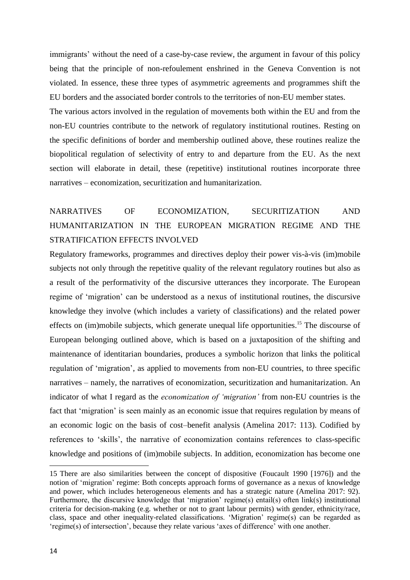immigrants' without the need of a case-by-case review, the argument in favour of this policy being that the principle of non-refoulement enshrined in the Geneva Convention is not violated. In essence, these three types of asymmetric agreements and programmes shift the EU borders and the associated border controls to the territories of non-EU member states.

The various actors involved in the regulation of movements both within the EU and from the non-EU countries contribute to the network of regulatory institutional routines. Resting on the specific definitions of border and membership outlined above, these routines realize the biopolitical regulation of selectivity of entry to and departure from the EU. As the next section will elaborate in detail, these (repetitive) institutional routines incorporate three narratives – economization, securitization and humanitarization.

## NARRATIVES OF ECONOMIZATION, SECURITIZATION AND HUMANITARIZATION IN THE EUROPEAN MIGRATION REGIME AND THE STRATIFICATION EFFECTS INVOLVED

Regulatory frameworks, programmes and directives deploy their power vis-à-vis (im)mobile subjects not only through the repetitive quality of the relevant regulatory routines but also as a result of the performativity of the discursive utterances they incorporate. The European regime of 'migration' can be understood as a nexus of institutional routines, the discursive knowledge they involve (which includes a variety of classifications) and the related power effects on (im)mobile subjects, which generate unequal life opportunities.<sup>15</sup> The discourse of European belonging outlined above, which is based on a juxtaposition of the shifting and maintenance of identitarian boundaries, produces a symbolic horizon that links the political regulation of 'migration', as applied to movements from non-EU countries, to three specific narratives – namely, the narratives of economization, securitization and humanitarization. An indicator of what I regard as the *economization of 'migration'* from non-EU countries is the fact that 'migration' is seen mainly as an economic issue that requires regulation by means of an economic logic on the basis of cost–benefit analysis (Amelina 2017: 113). Codified by references to 'skills', the narrative of economization contains references to class-specific knowledge and positions of (im)mobile subjects. In addition, economization has become one

<sup>15</sup> There are also similarities between the concept of dispositive (Foucault 1990 [1976]) and the notion of 'migration' regime: Both concepts approach forms of governance as a nexus of knowledge and power, which includes heterogeneous elements and has a strategic nature (Amelina 2017: 92). Furthermore, the discursive knowledge that 'migration' regime(s) entail(s) often link(s) institutional criteria for decision-making (e.g. whether or not to grant labour permits) with gender, ethnicity/race, class, space and other inequality-related classifications. 'Migration' regime(s) can be regarded as 'regime(s) of intersection', because they relate various 'axes of difference' with one another.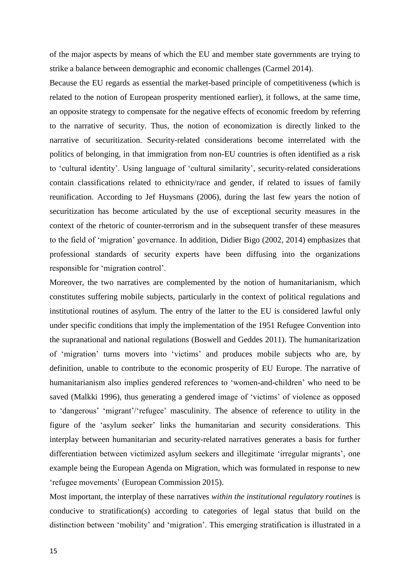of the major aspects by means of which the EU and member state governments are trying to strike a balance between demographic and economic challenges (Carmel 2014).

Because the EU regards as essential the market-based principle of competitiveness (which is related to the notion of European prosperity mentioned earlier), it follows, at the same time, an opposite strategy to compensate for the negative effects of economic freedom by referring to the narrative of security. Thus, the notion of economization is directly linked to the narrative of securitization. Security-related considerations become interrelated with the politics of belonging, in that immigration from non-EU countries is often identified as a risk to 'cultural identity'. Using language of 'cultural similarity', security-related considerations contain classifications related to ethnicity/race and gender, if related to issues of family reunification. According to Jef Huysmans (2006), during the last few years the notion of securitization has become articulated by the use of exceptional security measures in the context of the rhetoric of counter-terrorism and in the subsequent transfer of these measures to the field of 'migration' governance. In addition, Didier Bigo (2002, 2014) emphasizes that professional standards of security experts have been diffusing into the organizations responsible for 'migration control'.

Moreover, the two narratives are complemented by the notion of humanitarianism, which constitutes suffering mobile subjects, particularly in the context of political regulations and institutional routines of asylum. The entry of the latter to the EU is considered lawful only under specific conditions that imply the implementation of the 1951 Refugee Convention into the supranational and national regulations (Boswell and Geddes 2011). The humanitarization of 'migration' turns movers into 'victims' and produces mobile subjects who are, by definition, unable to contribute to the economic prosperity of EU Europe. The narrative of humanitarianism also implies gendered references to 'women-and-children' who need to be saved (Malkki 1996), thus generating a gendered image of 'victims' of violence as opposed to 'dangerous' 'migrant'/'refugee' masculinity. The absence of reference to utility in the figure of the 'asylum seeker' links the humanitarian and security considerations. This interplay between humanitarian and security-related narratives generates a basis for further differentiation between victimized asylum seekers and illegitimate 'irregular migrants', one example being the European Agenda on Migration, which was formulated in response to new 'refugee movements' (European Commission 2015).

Most important, the interplay of these narratives *within the institutional regulatory routines* is conducive to stratification(s) according to categories of legal status that build on the distinction between 'mobility' and 'migration'. This emerging stratification is illustrated in a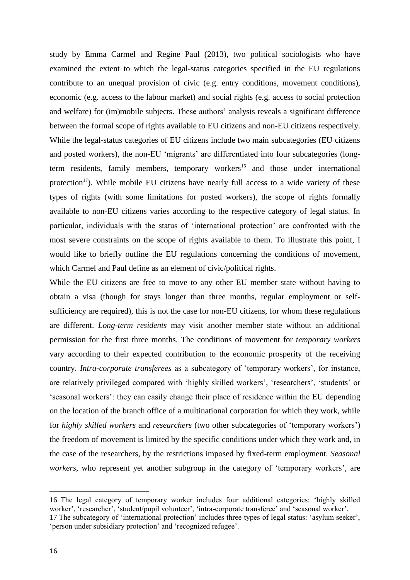study by Emma Carmel and Regine Paul (2013), two political sociologists who have examined the extent to which the legal-status categories specified in the EU regulations contribute to an unequal provision of civic (e.g. entry conditions, movement conditions), economic (e.g. access to the labour market) and social rights (e.g. access to social protection and welfare) for (im)mobile subjects. These authors' analysis reveals a significant difference between the formal scope of rights available to EU citizens and non-EU citizens respectively. While the legal-status categories of EU citizens include two main subcategories (EU citizens and posted workers), the non-EU 'migrants' are differentiated into four subcategories (longterm residents, family members, temporary workers<sup>16</sup> and those under international protection<sup>17</sup>). While mobile EU citizens have nearly full access to a wide variety of these types of rights (with some limitations for posted workers), the scope of rights formally available to non-EU citizens varies according to the respective category of legal status. In particular, individuals with the status of 'international protection' are confronted with the most severe constraints on the scope of rights available to them. To illustrate this point, I would like to briefly outline the EU regulations concerning the conditions of movement, which Carmel and Paul define as an element of civic/political rights.

While the EU citizens are free to move to any other EU member state without having to obtain a visa (though for stays longer than three months, regular employment or selfsufficiency are required), this is not the case for non-EU citizens, for whom these regulations are different. *Long-term residents* may visit another member state without an additional permission for the first three months. The conditions of movement for *temporary workers* vary according to their expected contribution to the economic prosperity of the receiving country. *Intra-corporate transferees* as a subcategory of 'temporary workers', for instance, are relatively privileged compared with 'highly skilled workers', 'researchers', 'students' or 'seasonal workers': they can easily change their place of residence within the EU depending on the location of the branch office of a multinational corporation for which they work, while for *highly skilled workers* and *researchers* (two other subcategories of 'temporary workers') the freedom of movement is limited by the specific conditions under which they work and, in the case of the researchers, by the restrictions imposed by fixed-term employment. *Seasonal workers*, who represent yet another subgroup in the category of 'temporary workers', are

<sup>16</sup> The legal category of temporary worker includes four additional categories: 'highly skilled worker', 'researcher', 'student/pupil volunteer', 'intra-corporate transferee' and 'seasonal worker'. 17 The subcategory of 'international protection' includes three types of legal status: 'asylum seeker',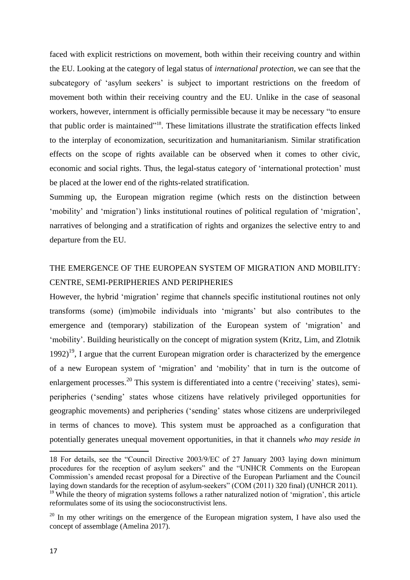faced with explicit restrictions on movement, both within their receiving country and within the EU. Looking at the category of legal status of *international protection*, we can see that the subcategory of 'asylum seekers' is subject to important restrictions on the freedom of movement both within their receiving country and the EU. Unlike in the case of seasonal workers, however, internment is officially permissible because it may be necessary "to ensure that public order is maintained" <sup>18</sup>. These limitations illustrate the stratification effects linked to the interplay of economization, securitization and humanitarianism. Similar stratification effects on the scope of rights available can be observed when it comes to other civic, economic and social rights. Thus, the legal-status category of 'international protection' must be placed at the lower end of the rights-related stratification.

Summing up, the European migration regime (which rests on the distinction between 'mobility' and 'migration') links institutional routines of political regulation of 'migration', narratives of belonging and a stratification of rights and organizes the selective entry to and departure from the EU.

### THE EMERGENCE OF THE EUROPEAN SYSTEM OF MIGRATION AND MOBILITY: CENTRE, SEMI-PERIPHERIES AND PERIPHERIES

However, the hybrid 'migration' regime that channels specific institutional routines not only transforms (some) (im)mobile individuals into 'migrants' but also contributes to the emergence and (temporary) stabilization of the European system of 'migration' and 'mobility'. Building heuristically on the concept of migration system (Kritz, Lim, and Zlotnik  $1992$ <sup>19</sup>. I argue that the current European migration order is characterized by the emergence of a new European system of 'migration' and 'mobility' that in turn is the outcome of enlargement processes.<sup>20</sup> This system is differentiated into a centre ('receiving' states), semiperipheries ('sending' states whose citizens have relatively privileged opportunities for geographic movements) and peripheries ('sending' states whose citizens are underprivileged in terms of chances to move). This system must be approached as a configuration that potentially generates unequal movement opportunities, in that it channels *who may reside in* 

<sup>18</sup> For details, see the "Council Directive 2003/9/EC of 27 January 2003 laying down minimum procedures for the reception of asylum seekers" and the "UNHCR Comments on the European Commission's amended recast proposal for a Directive of the European Parliament and the Council laying down standards for the reception of asylum-seekers" (COM (2011) 320 final) (UNHCR 2011).  $19$ <sup>19</sup> While the theory of migration systems follows a rather naturalized notion of 'migration', this article

reformulates some of its using the socioconstructivist lens.

 $20$  In my other writings on the emergence of the European migration system, I have also used the concept of assemblage (Amelina 2017).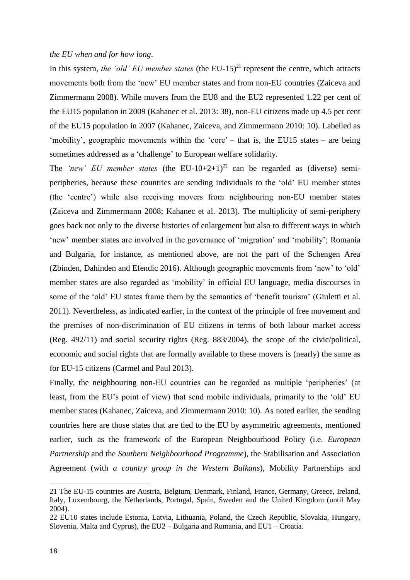#### *the EU when and for how long*.

In this system, *the 'old' EU member states* (the EU-15) <sup>21</sup> represent the centre, which attracts movements both from the 'new' EU member states and from non-EU countries (Zaiceva and Zimmermann 2008). While movers from the EU8 and the EU2 represented 1.22 per cent of the EU15 population in 2009 (Kahanec et al. 2013: 38), non-EU citizens made up 4.5 per cent of the EU15 population in 2007 (Kahanec, Zaiceva, and Zimmermann 2010: 10). Labelled as 'mobility', geographic movements within the 'core' – that is, the EU15 states – are being sometimes addressed as a 'challenge' to European welfare solidarity.

The 'new' EU member states (the EU-10+2+1)<sup>22</sup> can be regarded as (diverse) semiperipheries, because these countries are sending individuals to the 'old' EU member states (the 'centre') while also receiving movers from neighbouring non-EU member states (Zaiceva and Zimmermann 2008; Kahanec et al. 2013). The multiplicity of semi-periphery goes back not only to the diverse histories of enlargement but also to different ways in which 'new' member states are involved in the governance of 'migration' and 'mobility'; Romania and Bulgaria, for instance, as mentioned above, are not the part of the Schengen Area (Zbinden, Dahinden and Efendic 2016). Although geographic movements from 'new' to 'old' member states are also regarded as 'mobility' in official EU language, media discourses in some of the 'old' EU states frame them by the semantics of 'benefit tourism' (Giuletti et al. 2011). Nevertheless, as indicated earlier, in the context of the principle of free movement and the premises of non-discrimination of EU citizens in terms of both labour market access (Reg. 492/11) and social security rights (Reg. 883/2004), the scope of the civic/political, economic and social rights that are formally available to these movers is (nearly) the same as for EU-15 citizens (Carmel and Paul 2013).

Finally, the neighbouring non-EU countries can be regarded as multiple 'peripheries' (at least, from the EU's point of view) that send mobile individuals, primarily to the 'old' EU member states (Kahanec, Zaiceva, and Zimmermann 2010: 10). As noted earlier, the sending countries here are those states that are tied to the EU by asymmetric agreements, mentioned earlier, such as the framework of the European Neighbourhood Policy (i.e. *European Partnership* and the *Southern Neighbourhood Programme*), the Stabilisation and Association Agreement (with *a country group in the Western Balkans*), Mobility Partnerships and

<sup>21</sup> The EU-15 countries are Austria, Belgium, Denmark, Finland, France, Germany, Greece, Ireland, Italy, Luxembourg, the Netherlands, Portugal, Spain, Sweden and the United Kingdom (until May 2004).

<sup>22</sup> EU10 states include Estonia, Latvia, Lithuania, Poland, the Czech Republic, Slovakia, Hungary, Slovenia, Malta and Cyprus), the EU2 – Bulgaria and Rumania, and EU1 – Croatia.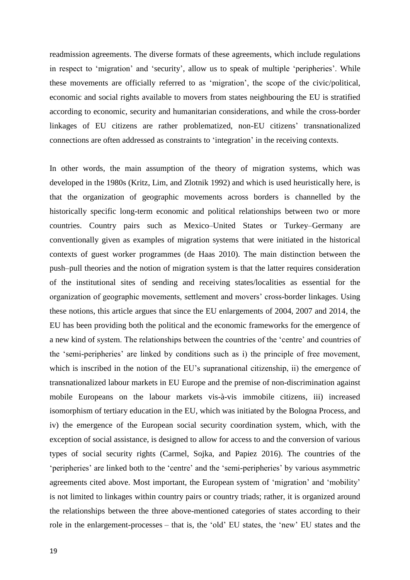readmission agreements. The diverse formats of these agreements, which include regulations in respect to 'migration' and 'security', allow us to speak of multiple 'peripheries'. While these movements are officially referred to as 'migration', the scope of the civic/political, economic and social rights available to movers from states neighbouring the EU is stratified according to economic, security and humanitarian considerations, and while the cross-border linkages of EU citizens are rather problematized, non-EU citizens' transnationalized connections are often addressed as constraints to 'integration' in the receiving contexts.

In other words, the main assumption of the theory of migration systems, which was developed in the 1980s (Kritz, Lim, and Zlotnik 1992) and which is used heuristically here, is that the organization of geographic movements across borders is channelled by the historically specific long-term economic and political relationships between two or more countries. Country pairs such as Mexico–United States or Turkey–Germany are conventionally given as examples of migration systems that were initiated in the historical contexts of guest worker programmes (de Haas 2010). The main distinction between the push–pull theories and the notion of migration system is that the latter requires consideration of the institutional sites of sending and receiving states/localities as essential for the organization of geographic movements, settlement and movers' cross-border linkages. Using these notions, this article argues that since the EU enlargements of 2004, 2007 and 2014, the EU has been providing both the political and the economic frameworks for the emergence of a new kind of system. The relationships between the countries of the 'centre' and countries of the 'semi-peripheries' are linked by conditions such as i) the principle of free movement, which is inscribed in the notion of the EU's supranational citizenship, ii) the emergence of transnationalized labour markets in EU Europe and the premise of non-discrimination against mobile Europeans on the labour markets vis-à-vis immobile citizens, iii) increased isomorphism of tertiary education in the EU, which was initiated by the Bologna Process, and iv) the emergence of the European social security coordination system, which, with the exception of social assistance, is designed to allow for access to and the conversion of various types of social security rights (Carmel, Sojka, and Papiez 2016). The countries of the 'peripheries' are linked both to the 'centre' and the 'semi-peripheries' by various asymmetric agreements cited above. Most important, the European system of 'migration' and 'mobility' is not limited to linkages within country pairs or country triads; rather, it is organized around the relationships between the three above-mentioned categories of states according to their role in the enlargement-processes – that is, the 'old' EU states, the 'new' EU states and the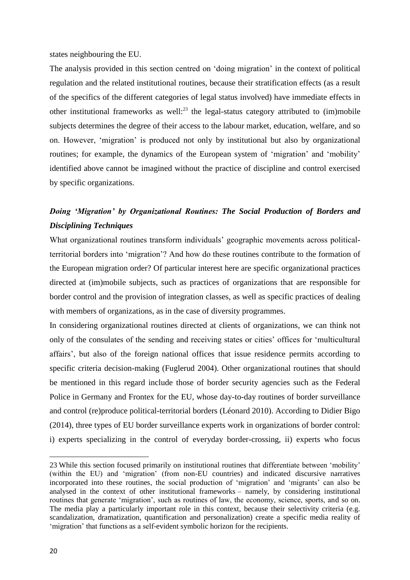states neighbouring the EU.

The analysis provided in this section centred on 'doing migration' in the context of political regulation and the related institutional routines, because their stratification effects (as a result of the specifics of the different categories of legal status involved) have immediate effects in other institutional frameworks as well: $^{23}$  the legal-status category attributed to (im)mobile subjects determines the degree of their access to the labour market, education, welfare, and so on. However, 'migration' is produced not only by institutional but also by organizational routines; for example, the dynamics of the European system of 'migration' and 'mobility' identified above cannot be imagined without the practice of discipline and control exercised by specific organizations.

### *Doing 'Migration' by Organizational Routines: The Social Production of Borders and Disciplining Techniques*

What organizational routines transform individuals' geographic movements across politicalterritorial borders into 'migration'? And how do these routines contribute to the formation of the European migration order? Of particular interest here are specific organizational practices directed at (im)mobile subjects, such as practices of organizations that are responsible for border control and the provision of integration classes, as well as specific practices of dealing with members of organizations, as in the case of diversity programmes.

In considering organizational routines directed at clients of organizations, we can think not only of the consulates of the sending and receiving states or cities' offices for 'multicultural affairs', but also of the foreign national offices that issue residence permits according to specific criteria decision-making (Fuglerud 2004). Other organizational routines that should be mentioned in this regard include those of border security agencies such as the Federal Police in Germany and Frontex for the EU, whose day-to-day routines of border surveillance and control (re)produce political-territorial borders (Léonard 2010). According to Didier Bigo (2014), three types of EU border surveillance experts work in organizations of border control: i) experts specializing in the control of everyday border-crossing, ii) experts who focus

 $\overline{\phantom{a}}$ 

<sup>23</sup> While this section focused primarily on institutional routines that differentiate between 'mobility' (within the EU) and 'migration' (from non-EU countries) and indicated discursive narratives incorporated into these routines, the social production of 'migration' and 'migrants' can also be analysed in the context of other institutional frameworks – namely, by considering institutional routines that generate 'migration', such as routines of law, the economy, science, sports, and so on. The media play a particularly important role in this context, because their selectivity criteria (e.g. scandalization, dramatization, quantification and personalization) create a specific media reality of 'migration' that functions as a self-evident symbolic horizon for the recipients.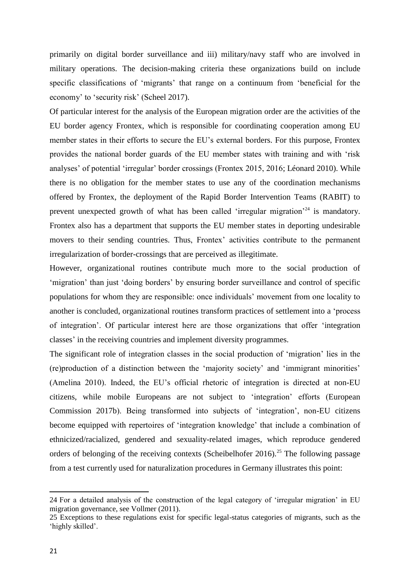primarily on digital border surveillance and iii) military/navy staff who are involved in military operations. The decision-making criteria these organizations build on include specific classifications of 'migrants' that range on a continuum from 'beneficial for the economy' to 'security risk' (Scheel 2017).

Of particular interest for the analysis of the European migration order are the activities of the EU border agency Frontex, which is responsible for coordinating cooperation among EU member states in their efforts to secure the EU's external borders. For this purpose, Frontex provides the national border guards of the EU member states with training and with 'risk analyses' of potential 'irregular' border crossings (Frontex 2015, 2016; Léonard 2010). While there is no obligation for the member states to use any of the coordination mechanisms offered by Frontex, the deployment of the Rapid Border Intervention Teams (RABIT) to prevent unexpected growth of what has been called 'irregular migration'<sup>24</sup> is mandatory. Frontex also has a department that supports the EU member states in deporting undesirable movers to their sending countries. Thus, Frontex' activities contribute to the permanent irregularization of border-crossings that are perceived as illegitimate.

However, organizational routines contribute much more to the social production of 'migration' than just 'doing borders' by ensuring border surveillance and control of specific populations for whom they are responsible: once individuals' movement from one locality to another is concluded, organizational routines transform practices of settlement into a 'process of integration'. Of particular interest here are those organizations that offer 'integration classes' in the receiving countries and implement diversity programmes.

The significant role of integration classes in the social production of 'migration' lies in the (re)production of a distinction between the 'majority society' and 'immigrant minorities' (Amelina 2010). Indeed, the EU's official rhetoric of integration is directed at non-EU citizens, while mobile Europeans are not subject to 'integration' efforts (European Commission 2017b). Being transformed into subjects of 'integration', non-EU citizens become equipped with repertoires of 'integration knowledge' that include a combination of ethnicized/racialized, gendered and sexuality-related images, which reproduce gendered orders of belonging of the receiving contexts (Scheibelhofer 2016).<sup>25</sup> The following passage from a test currently used for naturalization procedures in Germany illustrates this point:

<sup>24</sup> For a detailed analysis of the construction of the legal category of 'irregular migration' in EU migration governance, see Vollmer (2011).

<sup>25</sup> Exceptions to these regulations exist for specific legal-status categories of migrants, such as the 'highly skilled'.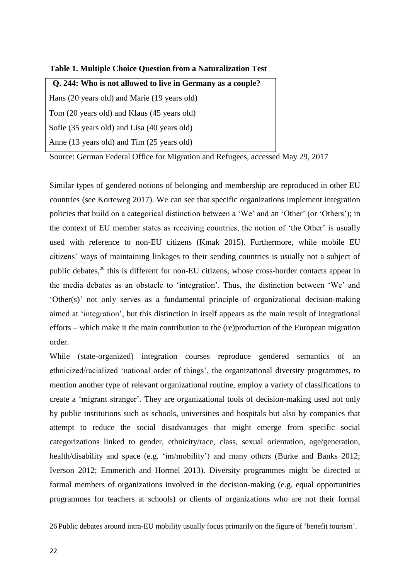| Q. 244: Who is not allowed to live in Germany as a couple? |
|------------------------------------------------------------|
| Hans (20 years old) and Marie (19 years old)               |
| Tom (20 years old) and Klaus (45 years old)                |
| Sofie (35 years old) and Lisa (40 years old)               |
| Anne (13 years old) and Tim (25 years old)                 |

Source: German Federal Office for Migration and Refugees, accessed May 29, 2017

Similar types of gendered notions of belonging and membership are reproduced in other EU countries (see Korteweg 2017). We can see that specific organizations implement integration policies that build on a categorical distinction between a 'We' and an 'Other' (or 'Others'); in the context of EU member states as receiving countries, the notion of 'the Other' is usually used with reference to non-EU citizens (Kmak 2015). Furthermore, while mobile EU citizens' ways of maintaining linkages to their sending countries is usually not a subject of public debates,<sup>26</sup> this is different for non-EU citizens, whose cross-border contacts appear in the media debates as an obstacle to 'integration'. Thus, the distinction between 'We' and 'Other(s)' not only serves as a fundamental principle of organizational decision-making aimed at 'integration', but this distinction in itself appears as the main result of integrational efforts – which make it the main contribution to the (re)production of the European migration order.

While (state-organized) integration courses reproduce gendered semantics of an ethnicized/racialized 'national order of things', the organizational diversity programmes, to mention another type of relevant organizational routine, employ a variety of classifications to create a 'migrant stranger'. They are organizational tools of decision-making used not only by public institutions such as schools, universities and hospitals but also by companies that attempt to reduce the social disadvantages that might emerge from specific social categorizations linked to gender, ethnicity/race, class, sexual orientation, age/generation, health/disability and space (e.g. 'im/mobility') and many others (Burke and Banks 2012; Iverson 2012; Emmerich and Hormel 2013). Diversity programmes might be directed at formal members of organizations involved in the decision-making (e.g. equal opportunities programmes for teachers at schools) or clients of organizations who are not their formal

<sup>26</sup> Public debates around intra-EU mobility usually focus primarily on the figure of 'benefit tourism'.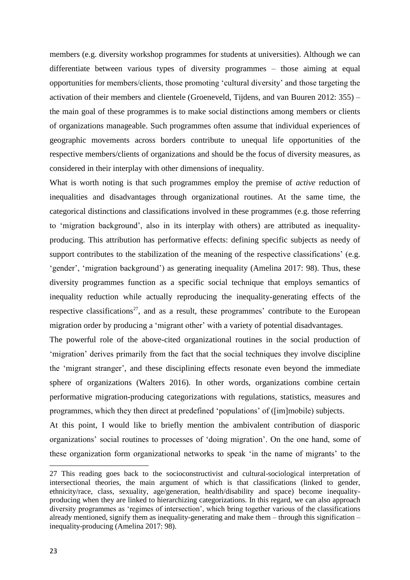members (e.g. diversity workshop programmes for students at universities). Although we can differentiate between various types of diversity programmes – those aiming at equal opportunities for members/clients, those promoting 'cultural diversity' and those targeting the activation of their members and clientele (Groeneveld, Tijdens, and van Buuren 2012: 355) – the main goal of these programmes is to make social distinctions among members or clients of organizations manageable. Such programmes often assume that individual experiences of geographic movements across borders contribute to unequal life opportunities of the respective members/clients of organizations and should be the focus of diversity measures, as considered in their interplay with other dimensions of inequality.

What is worth noting is that such programmes employ the premise of *active* reduction of inequalities and disadvantages through organizational routines. At the same time, the categorical distinctions and classifications involved in these programmes (e.g. those referring to 'migration background', also in its interplay with others) are attributed as inequalityproducing. This attribution has performative effects: defining specific subjects as needy of support contributes to the stabilization of the meaning of the respective classifications' (e.g. 'gender', 'migration background') as generating inequality (Amelina 2017: 98). Thus, these diversity programmes function as a specific social technique that employs semantics of inequality reduction while actually reproducing the inequality-generating effects of the respective classifications<sup>27</sup>, and as a result, these programmes' contribute to the European migration order by producing a 'migrant other' with a variety of potential disadvantages.

The powerful role of the above-cited organizational routines in the social production of 'migration' derives primarily from the fact that the social techniques they involve discipline the 'migrant stranger', and these disciplining effects resonate even beyond the immediate sphere of organizations (Walters 2016). In other words, organizations combine certain performative migration-producing categorizations with regulations, statistics, measures and programmes, which they then direct at predefined 'populations' of ([im]mobile) subjects.

At this point, I would like to briefly mention the ambivalent contribution of diasporic organizations' social routines to processes of 'doing migration'. On the one hand, some of these organization form organizational networks to speak 'in the name of migrants' to the

<sup>27</sup> This reading goes back to the socioconstructivist and cultural-sociological interpretation of intersectional theories, the main argument of which is that classifications (linked to gender, ethnicity/race, class, sexuality, age/generation, health/disability and space) become inequalityproducing when they are linked to hierarchizing categorizations. In this regard, we can also approach diversity programmes as 'regimes of intersection', which bring together various of the classifications already mentioned, signify them as inequality-generating and make them – through this signification – inequality-producing (Amelina 2017: 98).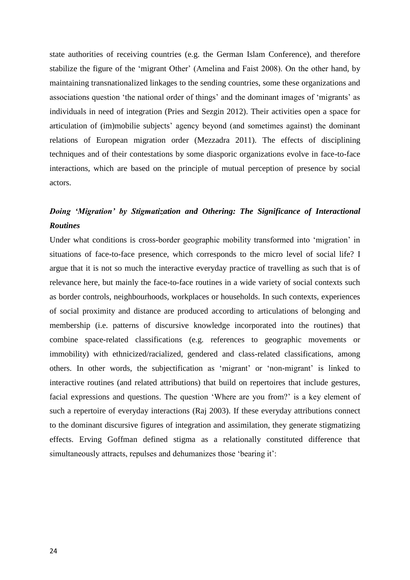state authorities of receiving countries (e.g. the German Islam Conference), and therefore stabilize the figure of the 'migrant Other' (Amelina and Faist 2008). On the other hand, by maintaining transnationalized linkages to the sending countries, some these organizations and associations question 'the national order of things' and the dominant images of 'migrants' as individuals in need of integration (Pries and Sezgin 2012). Their activities open a space for articulation of (im)mobilie subjects' agency beyond (and sometimes against) the dominant relations of European migration order (Mezzadra 2011). The effects of disciplining techniques and of their contestations by some diasporic organizations evolve in face-to-face interactions, which are based on the principle of mutual perception of presence by social actors.

### *Doing 'Migration' by Stigmatization and Othering: The Significance of Interactional Routines*

Under what conditions is cross-border geographic mobility transformed into 'migration' in situations of face-to-face presence, which corresponds to the micro level of social life? I argue that it is not so much the interactive everyday practice of travelling as such that is of relevance here, but mainly the face-to-face routines in a wide variety of social contexts such as border controls, neighbourhoods, workplaces or households. In such contexts, experiences of social proximity and distance are produced according to articulations of belonging and membership (i.e. patterns of discursive knowledge incorporated into the routines) that combine space-related classifications (e.g. references to geographic movements or immobility) with ethnicized/racialized, gendered and class-related classifications, among others. In other words, the subjectification as 'migrant' or 'non-migrant' is linked to interactive routines (and related attributions) that build on repertoires that include gestures, facial expressions and questions. The question 'Where are you from?' is a key element of such a repertoire of everyday interactions (Raj 2003). If these everyday attributions connect to the dominant discursive figures of integration and assimilation, they generate stigmatizing effects. Erving Goffman defined stigma as a relationally constituted difference that simultaneously attracts, repulses and dehumanizes those 'bearing it':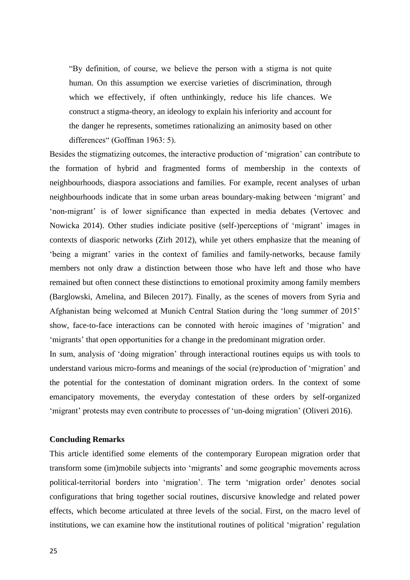"By definition, of course, we believe the person with a stigma is not quite human. On this assumption we exercise varieties of discrimination, through which we effectively, if often unthinkingly, reduce his life chances. We construct a stigma-theory, an ideology to explain his inferiority and account for the danger he represents, sometimes rationalizing an animosity based on other differences" (Goffman 1963: 5).

Besides the stigmatizing outcomes, the interactive production of 'migration' can contribute to the formation of hybrid and fragmented forms of membership in the contexts of neighbourhoods, diaspora associations and families. For example, recent analyses of urban neighbourhoods indicate that in some urban areas boundary-making between 'migrant' and 'non-migrant' is of lower significance than expected in media debates (Vertovec and Nowicka 2014). Other studies indiciate positive (self-)perceptions of 'migrant' images in contexts of diasporic networks (Zirh 2012), while yet others emphasize that the meaning of 'being a migrant' varies in the context of families and family-networks, because family members not only draw a distinction between those who have left and those who have remained but often connect these distinctions to emotional proximity among family members (Barglowski, Amelina, and Bilecen 2017). Finally, as the scenes of movers from Syria and Afghanistan being welcomed at Munich Central Station during the 'long summer of 2015' show, face-to-face interactions can be connoted with heroic imagines of 'migration' and 'migrants' that open opportunities for a change in the predominant migration order.

In sum, analysis of 'doing migration' through interactional routines equips us with tools to understand various micro-forms and meanings of the social (re)production of 'migration' and the potential for the contestation of dominant migration orders. In the context of some emancipatory movements, the everyday contestation of these orders by self-organized 'migrant' protests may even contribute to processes of 'un-doing migration' (Oliveri 2016).

#### **Concluding Remarks**

This article identified some elements of the contemporary European migration order that transform some (im)mobile subjects into 'migrants' and some geographic movements across political-territorial borders into 'migration'. The term 'migration order' denotes social configurations that bring together social routines, discursive knowledge and related power effects, which become articulated at three levels of the social. First, on the macro level of institutions, we can examine how the institutional routines of political 'migration' regulation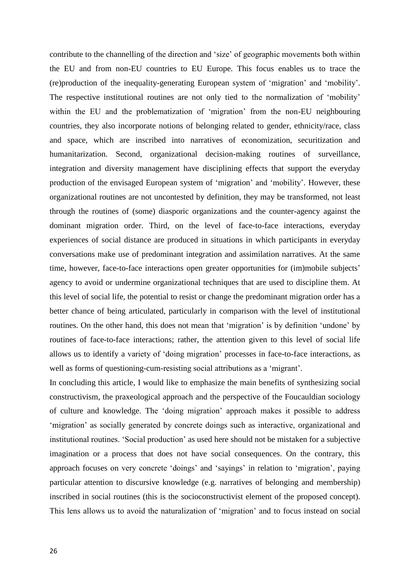contribute to the channelling of the direction and 'size' of geographic movements both within the EU and from non-EU countries to EU Europe. This focus enables us to trace the (re)production of the inequality-generating European system of 'migration' and 'mobility'. The respective institutional routines are not only tied to the normalization of 'mobility' within the EU and the problematization of 'migration' from the non-EU neighbouring countries, they also incorporate notions of belonging related to gender, ethnicity/race, class and space, which are inscribed into narratives of economization, securitization and humanitarization. Second, organizational decision-making routines of surveillance, integration and diversity management have disciplining effects that support the everyday production of the envisaged European system of 'migration' and 'mobility'. However, these organizational routines are not uncontested by definition, they may be transformed, not least through the routines of (some) diasporic organizations and the counter-agency against the dominant migration order. Third, on the level of face-to-face interactions, everyday experiences of social distance are produced in situations in which participants in everyday conversations make use of predominant integration and assimilation narratives. At the same time, however, face-to-face interactions open greater opportunities for (im)mobile subjects' agency to avoid or undermine organizational techniques that are used to discipline them. At this level of social life, the potential to resist or change the predominant migration order has a better chance of being articulated, particularly in comparison with the level of institutional routines. On the other hand, this does not mean that 'migration' is by definition 'undone' by routines of face-to-face interactions; rather, the attention given to this level of social life allows us to identify a variety of 'doing migration' processes in face-to-face interactions, as well as forms of questioning-cum-resisting social attributions as a 'migrant'.

In concluding this article, I would like to emphasize the main benefits of synthesizing social constructivism, the praxeological approach and the perspective of the Foucauldian sociology of culture and knowledge. The 'doing migration' approach makes it possible to address 'migration' as socially generated by concrete doings such as interactive, organizational and institutional routines. 'Social production' as used here should not be mistaken for a subjective imagination or a process that does not have social consequences. On the contrary, this approach focuses on very concrete 'doings' and 'sayings' in relation to 'migration', paying particular attention to discursive knowledge (e.g. narratives of belonging and membership) inscribed in social routines (this is the socioconstructivist element of the proposed concept). This lens allows us to avoid the naturalization of 'migration' and to focus instead on social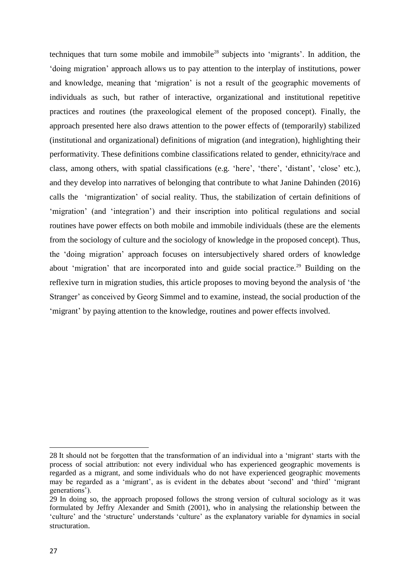techniques that turn some mobile and immobile<sup>28</sup> subjects into 'migrants'. In addition, the 'doing migration' approach allows us to pay attention to the interplay of institutions, power and knowledge, meaning that 'migration' is not a result of the geographic movements of individuals as such, but rather of interactive, organizational and institutional repetitive practices and routines (the praxeological element of the proposed concept). Finally, the approach presented here also draws attention to the power effects of (temporarily) stabilized (institutional and organizational) definitions of migration (and integration), highlighting their performativity. These definitions combine classifications related to gender, ethnicity/race and class, among others, with spatial classifications (e.g. 'here', 'there', 'distant', 'close' etc.), and they develop into narratives of belonging that contribute to what Janine Dahinden (2016) calls the 'migrantization' of social reality. Thus, the stabilization of certain definitions of 'migration' (and 'integration') and their inscription into political regulations and social routines have power effects on both mobile and immobile individuals (these are the elements from the sociology of culture and the sociology of knowledge in the proposed concept). Thus, the 'doing migration' approach focuses on intersubjectively shared orders of knowledge about 'migration' that are incorporated into and guide social practice.<sup>29</sup> Building on the reflexive turn in migration studies, this article proposes to moving beyond the analysis of 'the Stranger' as conceived by Georg Simmel and to examine, instead, the social production of the 'migrant' by paying attention to the knowledge, routines and power effects involved.

<sup>28</sup> It should not be forgotten that the transformation of an individual into a 'migrant' starts with the process of social attribution: not every individual who has experienced geographic movements is regarded as a migrant, and some individuals who do not have experienced geographic movements may be regarded as a 'migrant', as is evident in the debates about 'second' and 'third' 'migrant generations').

<sup>29</sup> In doing so, the approach proposed follows the strong version of cultural sociology as it was formulated by Jeffry Alexander and Smith (2001), who in analysing the relationship between the 'culture' and the 'structure' understands 'culture' as the explanatory variable for dynamics in social structuration.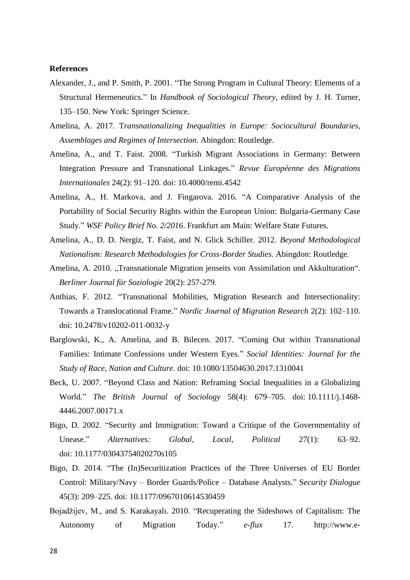#### **References**

- Alexander, J., and P. Smith, P. 2001. "The Strong Program in Cultural Theory: Elements of a Structural Hermeneutics." In *Handbook of Sociological Theory*, edited by J. H. Turner, 135–150. New York: Springer Science.
- Amelina, A. 2017. T*ransnationalizing Inequalities in Europe: Sociocultural Boundaries, Assemblages and Regimes of Intersection.* Abingdon: Routledge.
- Amelina, A., and T. Faist. 2008. "Turkish Migrant Associations in Germany: Between Integration Pressure and Transnational Linkages." *Revue Européenne des Migrations Internationales* 24(2): 91–120. doi: 10.4000/remi.4542
- Amelina, A., H. Markova, and J. Fingarova. 2016. "A Comparative Analysis of the Portability of Social Security Rights within the European Union: Bulgaria-Germany Case Study." *WSF Policy Brief No. 2/2016*. Frankfurt am Main: Welfare State Futures.
- Amelina, A., D. D. Nergiz, T. Faist, and N. Glick Schiller. 2012. *Beyond Methodological Nationalism: Research Methodologies for Cross-Border Studies.* Abingdon: Routledge.
- Amelina, A. 2010. "Transnationale Migration jenseits von Assimilation und Akkulturation". *Berliner Journal für Soziologie* 20(2): 257-279.
- Anthias, F. 2012. "Transnational Mobilities, Migration Research and Intersectionality: Towards a Translocational Frame." *Nordic Journal of Migration Research* 2(2): 102–110. doi: 10.2478/v10202-011-0032-y
- Barglowski, K., A. Amelina, and B. Bilecen. 2017. "Coming Out within Transnational Families: Intimate Confessions under Western Eyes." *Social Identities: Journal for the Study of Race, Nation and Culture*. doi: 10.1080/13504630.2017.1310041
- Beck, U. 2007. "Beyond Class and Nation: Reframing Social Inequalities in a Globalizing World." *The British Journal of Sociology* 58(4): 679–705. doi: 10.1111/j.1468- 4446.2007.00171.x
- Bigo, D. 2002. "Security and Immigration: Toward a Critique of the Governmentality of Unease." *Alternatives: Global, Local, Political* 27(1): 63–92. doi: 10.1177/03043754020270s105
- Bigo, D. 2014. "The (In)Securitization Practices of the Three Universes of EU Border Control: Military/Navy – Border Guards/Police – Database Analysts." S*ecurity Dialogue* 45(3): 209–225. doi: 10.1177/0967010614530459
- Bojadžijev, M., and S. Karakayalı. 2010. "Recuperating the Sideshows of Capitalism: The Autonomy of Migration Today." *e-flux* 17. http://www.e-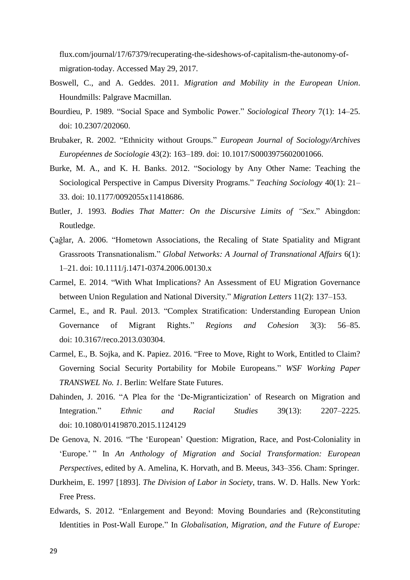flux.com/journal/17/67379/recuperating-the-sideshows-of-capitalism-the-autonomy-ofmigration-today. Accessed May 29, 2017.

- Boswell, C., and A. Geddes. 2011. *Migration and Mobility in the European Union*. Houndmills: Palgrave Macmillan.
- Bourdieu, P. 1989. "Social Space and Symbolic Power." *Sociological Theory* 7(1): 14–25. doi: 10.2307/202060.
- Brubaker, R. 2002. "Ethnicity without Groups." *European Journal of Sociology/Archives Européennes de Sociologie* 43(2): 163–189. doi: 10.1017/S0003975602001066.
- Burke, M. A., and K. H. Banks. 2012. "Sociology by Any Other Name: Teaching the Sociological Perspective in Campus Diversity Programs." *Teaching Sociology* 40(1): 21– 33. doi: 10.1177/0092055x11418686.
- Butler, J. 1993. *Bodies That Matter: On the Discursive Limits of "Sex*." Abingdon: Routledge.
- Çağlar, A. 2006. "Hometown Associations, the Recaling of State Spatiality and Migrant Grassroots Transnationalism." *Global Networks: A Journal of Transnational Affairs* 6(1): 1–21. doi: 10.1111/j.1471-0374.2006.00130.x
- Carmel, E. 2014. "With What Implications? An Assessment of EU Migration Governance between Union Regulation and National Diversity." *Migration Letters* 11(2): 137–153.
- Carmel, E., and R. Paul. 2013. "Complex Stratification: Understanding European Union Governance of Migrant Rights." *Regions and Cohesion* 3(3): 56–85. doi: 10.3167/reco.2013.030304.
- Carmel, E., B. Sojka, and K. Papiez. 2016. "Free to Move, Right to Work, Entitled to Claim? Governing Social Security Portability for Mobile Europeans." *WSF Working Paper TRANSWEL No. 1*. Berlin: Welfare State Futures.
- Dahinden, J. 2016. "A Plea for the 'De-Migranticization' of Research on Migration and Integration." *Ethnic and Racial Studies* 39(13): 2207–2225. doi: 10.1080/01419870.2015.1124129
- De Genova, N. 2016. "The 'European' Question: Migration, Race, and Post-Coloniality in 'Europe.' " In *An Anthology of Migration and Social Transformation: European Perspectives*, edited by A. Amelina, K. Horvath, and B. Meeus, 343–356. Cham: Springer.
- Durkheim, E. 1997 [1893]. *The Division of Labor in Society*, trans. W. D. Halls. New York: Free Press.
- Edwards, S. 2012. "Enlargement and Beyond: Moving Boundaries and (Re)constituting Identities in Post-Wall Europe." In *Globalisation, Migration, and the Future of Europe:*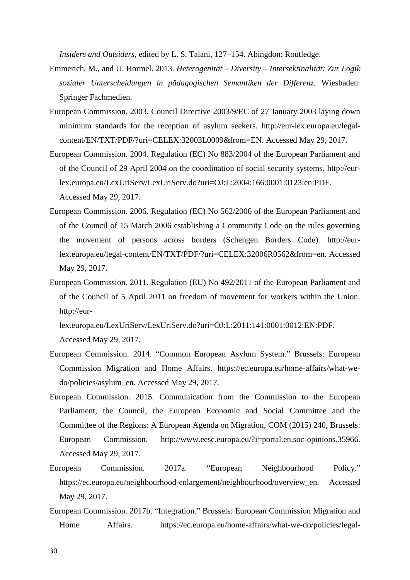*Insiders and Outsiders*, edited by L. S. Talani, 127–154. Abingdon: Routledge.

- Emmerich, M., and U. Hormel. 2013. *Heterogenität – Diversity – Intersektinalität: Zur Logik sozialer Unterscheidungen in pädagogischen Semantiken der Differenz.* Wiesbaden: Springer Fachmedien.
- European Commission. 2003. Council Directive 2003/9/EC of 27 January 2003 laying down minimum standards for the reception of asylum seekers. http://eur-lex.europa.eu/legalcontent/EN/TXT/PDF/?uri=CELEX:32003L0009&from=EN. Accessed May 29, 2017.
- European Commission. 2004. Regulation (EC) No 883/2004 of the European Parliament and of the Council of 29 April 2004 on the coordination of social security systems. http://eurlex.europa.eu/LexUriServ/LexUriServ.do?uri=OJ:L:2004:166:0001:0123:en:PDF. Accessed May 29, 2017.
- European Commission. 2006. Regulation (EC) No 562/2006 of the European Parliament and of the Council of 15 March 2006 establishing a Community Code on the rules governing the movement of persons across borders (Schengen Borders Code). http://eurlex.europa.eu/legal-content/EN/TXT/PDF/?uri=CELEX:32006R0562&from=en. Accessed May 29, 2017.
- European Commission. 2011. Regulation (EU) No 492/2011 of the European Parliament and of the Council of 5 April 2011 on freedom of movement for workers within the Union. http://eur-

lex.europa.eu/LexUriServ/LexUriServ.do?uri=OJ:L:2011:141:0001:0012:EN:PDF. Accessed May 29, 2017.

- European Commission. 2014. "Common European Asylum System." Brussels: European Commission Migration and Home Affairs. https://ec.europa.eu/home-affairs/what-wedo/policies/asylum\_en. Accessed May 29, 2017.
- European Commission. 2015. Communication from the Commission to the European Parliament, the Council, the European Economic and Social Committee and the Committee of the Regions: A European Agenda on Migration, COM (2015) 240, Brussels: European Commission. http://www.eesc.europa.eu/?i=portal.en.soc-opinions.35966. Accessed May 29, 2017.
- European Commission. 2017a. "European Neighbourhood Policy." https://ec.europa.eu/neighbourhood-enlargement/neighbourhood/overview\_en. Accessed May 29, 2017.
- European Commission. 2017b. "Integration." Brussels: European Commission Migration and Home Affairs. https://ec.europa.eu/home-affairs/what-we-do/policies/legal-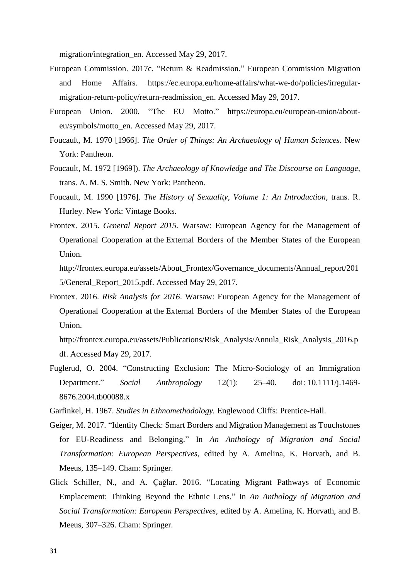migration/integration\_en. Accessed May 29, 2017.

- European Commission. 2017c. "Return & Readmission." European Commission Migration and Home Affairs. https://ec.europa.eu/home-affairs/what-we-do/policies/irregularmigration-return-policy/return-readmission\_en. Accessed May 29, 2017.
- European Union. 2000. "The EU Motto." https://europa.eu/european-union/abouteu/symbols/motto\_en. Accessed May 29, 2017.
- Foucault, M. 1970 [1966]. *The Order of Things: An Archaeology of Human Sciences*. New York: Pantheon.
- Foucault, M. 1972 [1969]). *The Archaeology of Knowledge and The Discourse on Language*, trans. A. M. S. Smith. New York: Pantheon.
- Foucault, M. 1990 [1976]. *The History of Sexuality, Volume 1: An Introduction*, trans. R. Hurley. New York: Vintage Books.
- Frontex. 2015. *General Report 2015.* Warsaw: European Agency for the Management of Operational Cooperation at the External Borders of the Member States of the European Union.

http://frontex.europa.eu/assets/About\_Frontex/Governance\_documents/Annual\_report/201 5/General\_Report\_2015.pdf. Accessed May 29, 2017.

Frontex. 2016. *Risk Analysis for 2016*. Warsaw: European Agency for the Management of Operational Cooperation at the External Borders of the Member States of the European Union.

http://frontex.europa.eu/assets/Publications/Risk\_Analysis/Annula\_Risk\_Analysis\_2016.p df. Accessed May 29, 2017.

- Fuglerud, O. 2004. "Constructing Exclusion: The Micro-Sociology of an Immigration Department." *Social Anthropology* 12(1): 25–40. doi: 10.1111/j.1469- 8676.2004.tb00088.x
- Garfinkel, H. 1967. *Studies in Ethnomethodology.* Englewood Cliffs: Prentice-Hall.
- Geiger, M. 2017. "Identity Check: Smart Borders and Migration Management as Touchstones for EU-Readiness and Belonging." In *An Anthology of Migration and Social Transformation: European Perspectives*, edited by A. Amelina, K. Horvath, and B. Meeus, 135–149. Cham: Springer.
- Glick Schiller, N., and A. Çağlar. 2016. "Locating Migrant Pathways of Economic Emplacement: Thinking Beyond the Ethnic Lens." In *An Anthology of Migration and Social Transformation: European Perspectives*, edited by A. Amelina, K. Horvath, and B. Meeus, 307–326. Cham: Springer.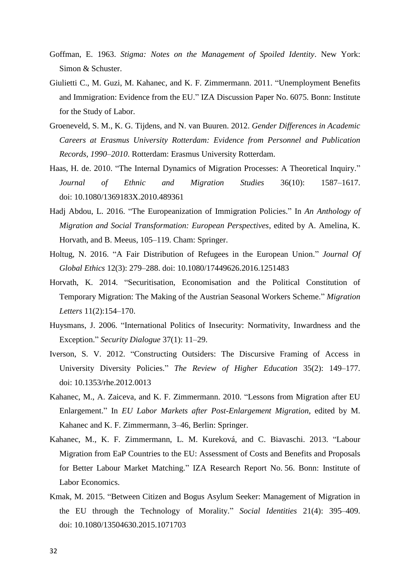- Goffman, E. 1963. *Stigma: Notes on the Management of Spoiled Identity*. New York: Simon & Schuster.
- Giulietti C., M. Guzi, M. Kahanec, and K. F. Zimmermann. 2011. "Unemployment Benefits and Immigration: Evidence from the EU." IZA Discussion Paper No. 6075. Bonn: Institute for the Study of Labor.
- Groeneveld, S. M., K. G. Tijdens, and N. van Buuren. 2012. *Gender Differences in Academic Careers at Erasmus University Rotterdam: Evidence from Personnel and Publication Records, 1990–2010*. Rotterdam: Erasmus University Rotterdam.
- Haas, H. de. 2010. "The Internal Dynamics of Migration Processes: A Theoretical Inquiry." *Journal of Ethnic and Migration Studies* 36(10): 1587–1617. doi: 10.1080/1369183X.2010.489361
- Hadj Abdou, L. 2016. "The Europeanization of Immigration Policies." In *An Anthology of Migration and Social Transformation: European Perspectives*, edited by A. Amelina, K. Horvath, and B. Meeus, 105–119. Cham: Springer.
- Holtug, N. 2016. "A Fair Distribution of Refugees in the European Union." *Journal Of Global Ethics* 12(3): 279–288. doi: 10.1080/17449626.2016.1251483
- Horvath, K. 2014. "Securitisation, Economisation and the Political Constitution of Temporary Migration: The Making of the Austrian Seasonal Workers Scheme." *Migration Letters* 11(2):154–170.
- Huysmans, J. 2006. "International Politics of Insecurity: Normativity, Inwardness and the Exception." *Security Dialogue* 37(1): 11–29.
- Iverson, S. V. 2012. "Constructing Outsiders: The Discursive Framing of Access in University Diversity Policies." *The Review of Higher Education* 35(2): 149–177. doi: 10.1353/rhe.2012.0013
- Kahanec, M., A. Zaiceva, and K. F. Zimmermann. 2010. "Lessons from Migration after EU Enlargement." In *EU Labor Markets after Post-Enlargement Migration*, edited by M. Kahanec and K. F. Zimmermann, 3–46, Berlin: Springer.
- Kahanec, M., K. F. Zimmermann, L. M. Kureková, and C. Biavaschi. 2013. "Labour Migration from EaP Countries to the EU: Assessment of Costs and Benefits and Proposals for Better Labour Market Matching." IZA Research Report No. 56. Bonn: Institute of Labor Economics.
- Kmak, M. 2015. "Between Citizen and Bogus Asylum Seeker: Management of Migration in the EU through the Technology of Morality." *Social Identities* 21(4): 395–409. doi: 10.1080/13504630.2015.1071703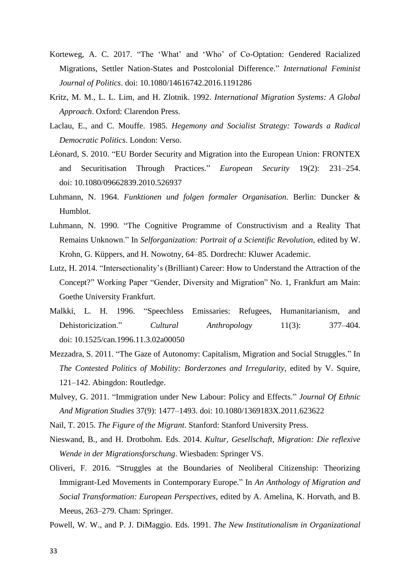- Korteweg, A. C. 2017. "The 'What' and 'Who' of Co-Optation: Gendered Racialized Migrations, Settler Nation-States and Postcolonial Difference." *International Feminist Journal of Politics*. doi: 10.1080/14616742.2016.1191286
- Kritz, M. M., L. L. Lim, and H. Zlotnik. 1992. *International Migration Systems: A Global Approach*. Oxford: Clarendon Press.
- Laclau, E., and C. Mouffe. 1985. *Hegemony and Socialist Strategy: Towards a Radical Democratic Politics*. London: Verso.
- Léonard, S. 2010. "EU Border Security and Migration into the European Union: FRONTEX and Securitisation Through Practices." *European Security* 19(2): 231–254. doi: 10.1080/09662839.2010.526937
- Luhmann, N. 1964. *Funktionen und folgen formaler Organisation.* Berlin: Duncker & Humblot.
- Luhmann, N. 1990. "The Cognitive Programme of Constructivism and a Reality That Remains Unknown." In *Selforganization: Portrait of a Scientific Revolution*, edited by W. Krohn, G. Küppers, and H. Nowotny, 64–85. Dordrecht: Kluwer Academic.
- Lutz, H. 2014. "Intersectionality's (Brilliant) Career: How to Understand the Attraction of the Concept?" Working Paper "Gender, Diversity and Migration" No. 1, Frankfurt am Main: Goethe University Frankfurt.
- Malkki, L. H. 1996. "Speechless Emissaries: Refugees, Humanitarianism, and Dehistoricization." *Cultural Anthropology* 11(3): 377–404. doi: 10.1525/can.1996.11.3.02a00050
- Mezzadra, S. 2011. "The Gaze of Autonomy: Capitalism, Migration and Social Struggles." In *The Contested Politics of Mobility: Borderzones and Irregularity*, edited by V. Squire, 121–142. Abingdon: Routledge.
- Mulvey, G. 2011. "Immigration under New Labour: Policy and Effects." *Journal Of Ethnic And Migration Studies* 37(9): 1477–1493. doi: 10.1080/1369183X.2011.623622
- Nail, T. 2015. *The Figure of the Migrant*. Stanford: Stanford University Press.
- Nieswand, B., and H. Drotbohm. Eds. 2014. *Kultur, Gesellschaft, Migration: Die reflexive Wende in der Migrationsforschung*. Wiesbaden: Springer VS.
- Oliveri, F. 2016. "Struggles at the Boundaries of Neoliberal Citizenship: Theorizing Immigrant-Led Movements in Contemporary Europe." In *An Anthology of Migration and Social Transformation: European Perspectives*, edited by A. Amelina, K. Horvath, and B. Meeus, 263–279. Cham: Springer.

Powell, W. W., and P. J. DiMaggio. Eds. 1991. *The New Institutionalism in Organizational*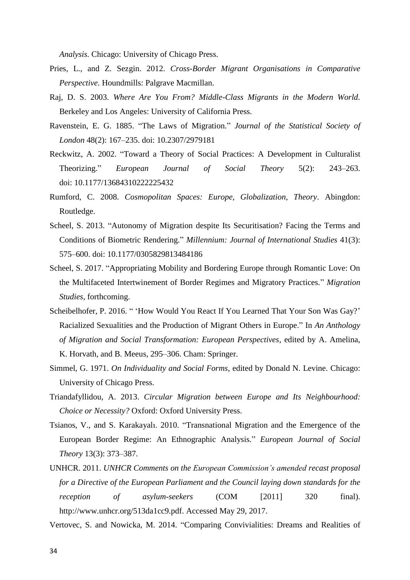*Analysis.* Chicago: University of Chicago Press.

- Pries, L., and Z. Sezgin. 2012. *Cross-Border Migrant Organisations in Comparative Perspective*. Houndmills: Palgrave Macmillan.
- Raj, D. S. 2003. *Where Are You From? Middle-Class Migrants in the Modern World.* Berkeley and Los Angeles: University of California Press.
- Ravenstein, E. G. 1885. "The Laws of Migration." *Journal of the Statistical Society of London* 48(2): 167–235. doi: 10.2307/2979181
- Reckwitz, A. 2002. "Toward a Theory of Social Practices: A Development in Culturalist Theorizing." *European Journal of Social Theory* 5(2): 243–263. doi: 10.1177/13684310222225432
- Rumford, C. 2008. *Cosmopolitan Spaces: Europe, Globalization, Theory*. Abingdon: Routledge.
- Scheel, S. 2013. "Autonomy of Migration despite Its Securitisation? Facing the Terms and Conditions of Biometric Rendering." *Millennium: Journal of International Studies* 41(3): 575–600. doi: 10.1177/0305829813484186
- Scheel, S. 2017. "Appropriating Mobility and Bordering Europe through Romantic Love: On the Multifaceted Intertwinement of Border Regimes and Migratory Practices." *Migration Studies*, forthcoming.
- Scheibelhofer, P. 2016. " 'How Would You React If You Learned That Your Son Was Gay?' Racialized Sexualities and the Production of Migrant Others in Europe." In *An Anthology of Migration and Social Transformation: European Perspectives*, edited by A. Amelina, K. Horvath, and B. Meeus, 295–306. Cham: Springer.
- Simmel, G. 1971. *On Individuality and Social Forms*, edited by Donald N. Levine. Chicago: University of Chicago Press.
- Triandafyllidou, A. 2013. *Circular Migration between Europe and Its Neighbourhood: Choice or Necessity?* Oxford: Oxford University Press.
- Tsianos, V., and S. Karakayalı. 2010. "Transnational Migration and the Emergence of the European Border Regime: An Ethnographic Analysis." *European Journal of Social Theory* 13(3): 373–387.
- UNHCR. 2011. *UNHCR Comments on the European Commission's amended recast proposal for a Directive of the European Parliament and the Council laying down standards for the reception of asylum-seekers* (COM [2011] 320 final). http://www.unhcr.org/513da1cc9.pdf. Accessed May 29, 2017.
- Vertovec, S. and Nowicka, M. 2014. "Comparing Convivialities: Dreams and Realities of